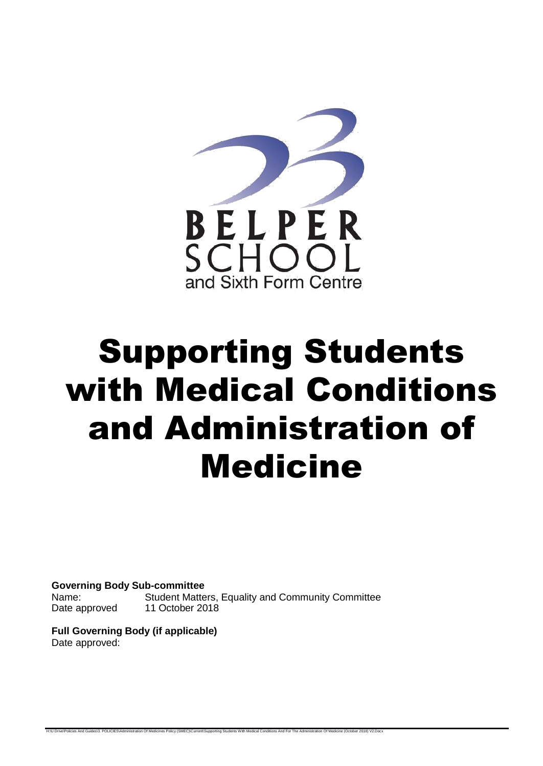

# Supporting Students with Medical Conditions and Administration of Medicine

**Governing Body Sub-committee** Name: Student Matters, Equality and Community Committee Date approved 11 October 2018

**Full Governing Body (if applicable)** Date approved:

H:\U Drive\Policies And Guides\3. POLICIES\Administration Of Medicines Policy (SMEC)\Current\Supporting Students With Medical Conditions And For The Administration Of Medicine (October 2018) V2.Doc: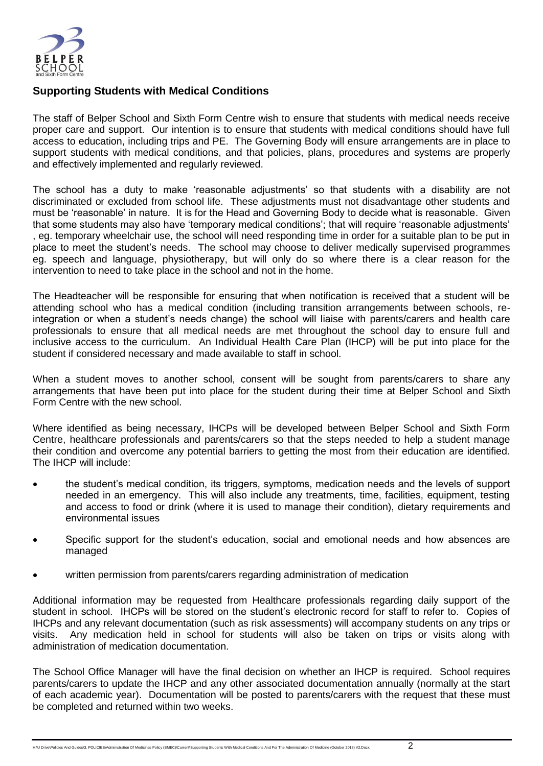

## **Supporting Students with Medical Conditions**

The staff of Belper School and Sixth Form Centre wish to ensure that students with medical needs receive proper care and support. Our intention is to ensure that students with medical conditions should have full access to education, including trips and PE. The Governing Body will ensure arrangements are in place to support students with medical conditions, and that policies, plans, procedures and systems are properly and effectively implemented and regularly reviewed.

The school has a duty to make 'reasonable adjustments' so that students with a disability are not discriminated or excluded from school life. These adjustments must not disadvantage other students and must be 'reasonable' in nature. It is for the Head and Governing Body to decide what is reasonable. Given that some students may also have 'temporary medical conditions'; that will require 'reasonable adjustments' , eg. temporary wheelchair use, the school will need responding time in order for a suitable plan to be put in place to meet the student's needs. The school may choose to deliver medically supervised programmes eg. speech and language, physiotherapy, but will only do so where there is a clear reason for the intervention to need to take place in the school and not in the home.

The Headteacher will be responsible for ensuring that when notification is received that a student will be attending school who has a medical condition (including transition arrangements between schools, reintegration or when a student's needs change) the school will liaise with parents/carers and health care professionals to ensure that all medical needs are met throughout the school day to ensure full and inclusive access to the curriculum. An Individual Health Care Plan (IHCP) will be put into place for the student if considered necessary and made available to staff in school.

When a student moves to another school, consent will be sought from parents/carers to share any arrangements that have been put into place for the student during their time at Belper School and Sixth Form Centre with the new school.

Where identified as being necessary, IHCPs will be developed between Belper School and Sixth Form Centre, healthcare professionals and parents/carers so that the steps needed to help a student manage their condition and overcome any potential barriers to getting the most from their education are identified. The IHCP will include:

- the student's medical condition, its triggers, symptoms, medication needs and the levels of support needed in an emergency. This will also include any treatments, time, facilities, equipment, testing and access to food or drink (where it is used to manage their condition), dietary requirements and environmental issues
- Specific support for the student's education, social and emotional needs and how absences are managed
- written permission from parents/carers regarding administration of medication

Additional information may be requested from Healthcare professionals regarding daily support of the student in school. IHCPs will be stored on the student's electronic record for staff to refer to. Copies of IHCPs and any relevant documentation (such as risk assessments) will accompany students on any trips or visits. Any medication held in school for students will also be taken on trips or visits along with administration of medication documentation.

The School Office Manager will have the final decision on whether an IHCP is required. School requires parents/carers to update the IHCP and any other associated documentation annually (normally at the start of each academic year). Documentation will be posted to parents/carers with the request that these must be completed and returned within two weeks.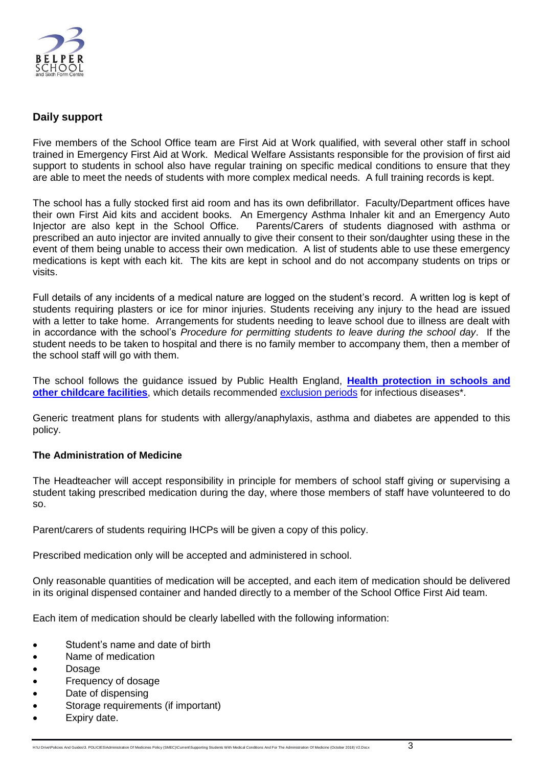

## **Daily support**

Five members of the School Office team are First Aid at Work qualified, with several other staff in school trained in Emergency First Aid at Work. Medical Welfare Assistants responsible for the provision of first aid support to students in school also have regular training on specific medical conditions to ensure that they are able to meet the needs of students with more complex medical needs. A full training records is kept.

The school has a fully stocked first aid room and has its own defibrillator. Faculty/Department offices have their own First Aid kits and accident books. An Emergency Asthma Inhaler kit and an Emergency Auto Injector are also kept in the School Office. Parents/Carers of students diagnosed with asthma or prescribed an auto injector are invited annually to give their consent to their son/daughter using these in the event of them being unable to access their own medication. A list of students able to use these emergency medications is kept with each kit. The kits are kept in school and do not accompany students on trips or visits.

Full details of any incidents of a medical nature are logged on the student's record. A written log is kept of students requiring plasters or ice for minor injuries. Students receiving any injury to the head are issued with a letter to take home. Arrangements for students needing to leave school due to illness are dealt with in accordance with the school's *Procedure for permitting students to leave during the school day*. If the student needs to be taken to hospital and there is no family member to accompany them, then a member of the school staff will go with them.

The school follows the guidance issued by Public Health England, **[Health protection in schools and](https://www.gov.uk/government/publications/health-protection-in-schools-and-other-childcare-facilities)  [other childcare facilities](https://www.gov.uk/government/publications/health-protection-in-schools-and-other-childcare-facilities)**, which details recommended [exclusion periods](https://assets.publishing.service.gov.uk/government/uploads/system/uploads/attachment_data/file/691091/Exclusion_table.pdf) for infectious diseases\*.

Generic treatment plans for students with allergy/anaphylaxis, asthma and diabetes are appended to this policy.

## **The Administration of Medicine**

The Headteacher will accept responsibility in principle for members of school staff giving or supervising a student taking prescribed medication during the day, where those members of staff have volunteered to do so.

Parent/carers of students requiring IHCPs will be given a copy of this policy.

Prescribed medication only will be accepted and administered in school.

Only reasonable quantities of medication will be accepted, and each item of medication should be delivered in its original dispensed container and handed directly to a member of the School Office First Aid team.

Each item of medication should be clearly labelled with the following information:

- Student's name and date of birth
- Name of medication
- Dosage
- Frequency of dosage
- Date of dispensing
- Storage requirements (if important)
- Expiry date.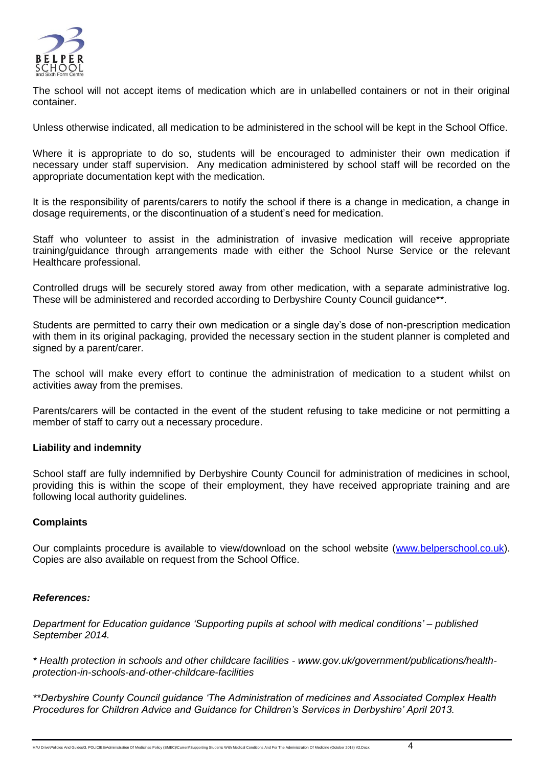

The school will not accept items of medication which are in unlabelled containers or not in their original container.

Unless otherwise indicated, all medication to be administered in the school will be kept in the School Office.

Where it is appropriate to do so, students will be encouraged to administer their own medication if necessary under staff supervision. Any medication administered by school staff will be recorded on the appropriate documentation kept with the medication.

It is the responsibility of parents/carers to notify the school if there is a change in medication, a change in dosage requirements, or the discontinuation of a student's need for medication.

Staff who volunteer to assist in the administration of invasive medication will receive appropriate training/guidance through arrangements made with either the School Nurse Service or the relevant Healthcare professional.

Controlled drugs will be securely stored away from other medication, with a separate administrative log. These will be administered and recorded according to Derbyshire County Council quidance<sup>\*\*</sup>.

Students are permitted to carry their own medication or a single day's dose of non-prescription medication with them in its original packaging, provided the necessary section in the student planner is completed and signed by a parent/carer.

The school will make every effort to continue the administration of medication to a student whilst on activities away from the premises.

Parents/carers will be contacted in the event of the student refusing to take medicine or not permitting a member of staff to carry out a necessary procedure.

## **Liability and indemnity**

School staff are fully indemnified by Derbyshire County Council for administration of medicines in school, providing this is within the scope of their employment, they have received appropriate training and are following local authority guidelines.

#### **Complaints**

Our complaints procedure is available to view/download on the school website [\(www.belperschool.co.uk\)](http://www.belperschool.co.uk/). Copies are also available on request from the School Office.

#### *References:*

*Department for Education guidance 'Supporting pupils at school with medical conditions' – published September 2014.*

*\* Health protection in schools and other childcare facilities - www.gov.uk/government/publications/healthprotection-in-schools-and-other-childcare-facilities*

*\*\*Derbyshire County Council guidance 'The Administration of medicines and Associated Complex Health Procedures for Children Advice and Guidance for Children's Services in Derbyshire' April 2013.*